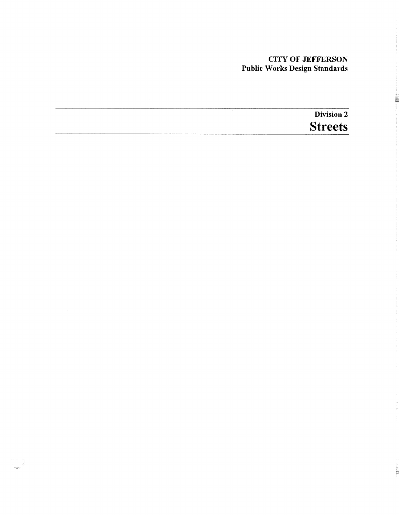#### CITY OF JEFFERSON Public Works Design Standards

| Division 2     |
|----------------|
|                |
| <b>Streets</b> |
|                |

 $\sim 10^{-10}$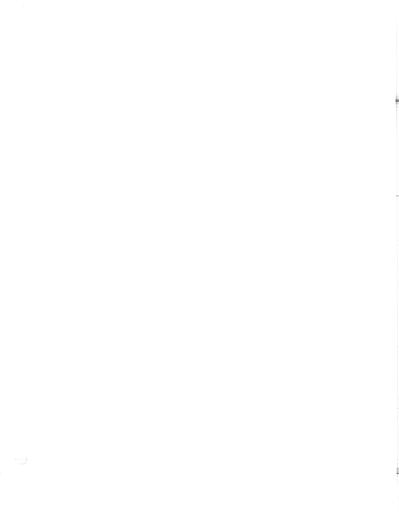أوسيسته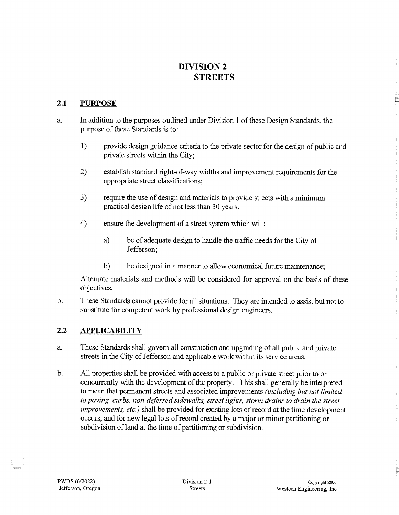# **DIVISION2 STREETS**

#### **2.1 PURPOSE**

- a. In addition to the purposes outlined under Division 1 of these Design Standards, the purpose of these Standards is to:
	- 1) provide design guidance criteria to the private sector for the design of public and private streets within the City;
	- 2) establish standard right-of-way widths and improvement requirements for the appropriate street classifications;
	- 3) require the use of design and materials to provide streets with a minimum practical design life of not less than 30 years.
	- 4) ensure the development of a street system which will:
		- a) be of adequate design to handle the traffic needs for the City of Jefferson;
		- b) be designed in a manner to allow economical future maintenance;

Alternate materials and methods will be considered for approval on the basis of these objectives.

b. These Standards cannot provide for all situations. They are intended to assist but not to substitute for competent work by professional design engineers.

#### 2.2 **APPLICABILITY**

- a. These Standards shall govern all construction and upgrading of all public and private streets in the City of Jefferson and applicable work within its service areas.
- b. All properties shall be provided with access to a public or private street prior to or concurrently with the development of the property. This shall generally be interpreted to mean that permanent streets and associated improvements *(including but not limited to paving, curbs, non-deferred sidewalks, street lights, storm drains to drain the street improvements, etc.)* shall be provided for existing lots of record at the time development occurs, and for new legal lots of record created by a major or minor partitioning or subdivision of land at the time of partitioning or subdivision.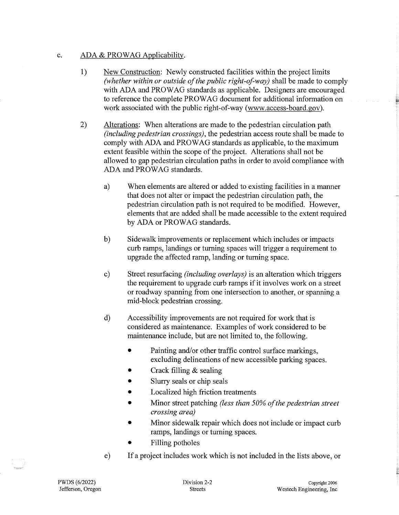#### c. ADA & PROWAG Applicability.

- 1) New Construction: Newly constructed facilities within the project limits *(whether within or outside of the public right-of-way)* shall be made to comply with ADA and PROWAG standards as applicable. Designers are encouraged to reference the complete PROW AG document for additional information on work associated with the public right-of-way (www.access-board.gov).
- 2) Alterations: When alterations are made to the pedestrian circulation path *(including pedestrian crossings),* the pedestrian access route shall be made to comply with ADA and PROW AG standards as applicable, to the maximum extent feasible within the scope of the project. Alterations shall not be allowed to gap pedestrian circulation paths in order to avoid compliance with ADA and PROWAG standards.
	- a) When elements are altered or added to existing facilities in a manner that does not alter or impact the pedestrian circulation path, the pedestrian circulation path is not required to be modified. However, elements that are added shall be made accessible to the extent required by ADA or PROWAG standards.
	- b) Sidewalk improvements or replacement which includes or impacts curb ramps, landings or turning spaces will trigger a requirement to upgrade the affected ramp, landing or turning space.
	- c) Street resurfacing *(including overlays)* is an alteration which triggers the requirement to upgrade curb ramps if it involves work on a street or roadway spanning from one intersection to another, or spanning a mid-block pedestrian crossing.
	- d) Accessibility improvements are not required for work that is considered as maintenance. Examples of work considered to be maintenance include, but are not limited to, the following.
		- Painting and/or other traffic control surface markings, excluding delineations of new accessible parking spaces.
		- Crack filling & sealing
		- Slurry seals or chip seals
		- Localized high friction treatments
		- Minor street patching *(less than 50% of the pedestrian street crossing area)*
		- Minor sidewalk repair which does not include or impact curb ramps, landings or turning spaces.
		- Filling potholes
	- e) If a project includes work which is not included in the lists above, or

È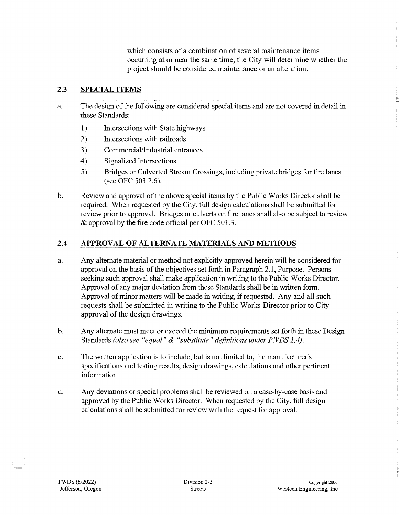which consists of a combination of several maintenance items occurring at or near the same time, the City will determine whether the project should be considered maintenance or an alteration.

### **2.3 SPECIAL ITEMS**

- a. The design of the following are considered special items and are not covered in detail in these Standards:
	- 1) Intersections with State highways
	- 2) Intersections with railroads
	- 3) Commercial/Industrial entrances
	- 4) Signalized Intersections
	- 5) Bridges or Culverted Stream Crossings, including private bridges for fire lanes (see OFC 503.2.6).
- b. Review and approval of the above special items by the Public Works Director shall be required. When requested by the City, full design calculations shall be submitted for review prior to approval. Bridges or culverts on fire lanes shall also be subject to review & approval by the fire code official per OFC 501.3.

## **2.4 APPROVAL OF ALTERNATE MATERIALS AND METHODS**

- a. Any alternate material or method not explicitly approved herein will be considered for approval on the basis of the objectives set forth in Paragraph 2.1, Purpose. Persons seeking such approval shall make application in writing to the Public Works Director. Approval of any major deviation from these Standards shall be in written form. Approval of minor matters will be made in writing, if requested. Any and all such requests shall be submitted in writing to the Public Works Director prior to City approval of the design drawings.
- b. Any alternate must meet or exceed the minimum requirements set forth in these Design Standards *(also see "equal"* & *"substitute" definitions under PWDS 1.4).*
- c. The written application is to include, but is not limited to, the manufacturer's specifications and testing results, design drawings, calculations and other pertinent information.
- d. Any deviations or special problems shall be reviewed on a case-by-case basis and approved by the Public Works Director. When requested by the City, full design calculations shall be submitted for review with the request for approval.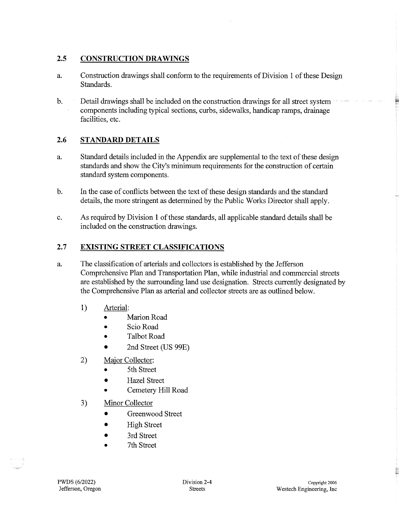## **2.5 CONSTRUCTION DRAWINGS**

- a. Construction drawings shall conform to the requirements of Division 1 of these Design Standards.
- b. Detail drawings shall be included on the construction drawings for all street system components including typical sections, curbs, sidewalks, handicap ramps, drainage facilities, etc.

## **2.6 STANDARD DETAILS**

- a. Standard details included in the Appendix are supplemental to the text of these design standards and show the City's minimum requirements for the construction of certain standard system components.
- b. In the case of conflicts between the text of these design standards and the standard details, the more stringent as determined by the Public Works Director shall apply.
- c. As required by Division **1** of these standards, all applicable standard details shall be included on the construction drawings.

## 2.7 **EXISTING STREET CLASSIFICATIONS**

- a. The classification of arterials and collectors is established by the Jefferson Comprehensive Plan and Transportation Plan, while industrial and commercial streets are established by the surrounding land use designation. Streets currently designated by the Comprehensive Plan as arterial and collector streets are as outlined below.
	- 1) Arterial:
		- Marion Road
		- Scio Road
		- Talbot Road
		- 2nd Street (US 99E)
	- 2) Major Collector:
		- 5th Street
		- Hazel Street
		- Cemetery Hill Road
	- 3) Minor Collector
		- Greenwood Street
		- High Street
		- 3rd Street
		- 7th Street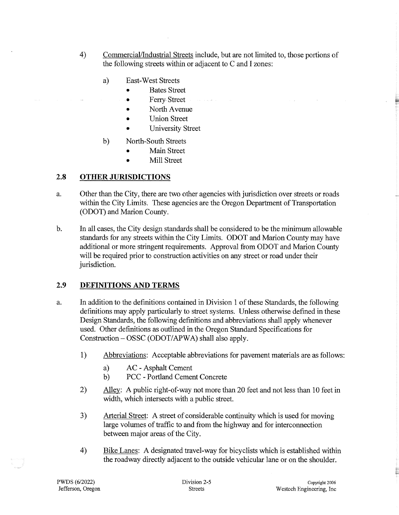4) Commercial/Industrial Streets include, but are not limited to, those portions of the following streets within or adjacent to C and I zones:

.<br>Linda al al serio

- a) East-West Streets
	- **Bates Street**
	- Ferry Street
	- North Avenue
	- Union Street
	- University Street
- b) North-South Streets
	- Main Street
	- Mill Street

#### **2.8 OTHER JURISDICTIONS**

- a. Other than the City, there are two other agencies with jurisdiction over streets or roads within the City Limits. These agencies are the Oregon Department of Transportation (ODOT) and Marion County.
- b. In all cases, the City design standards shall be considered to be the minimum allowable standards for any streets within the City Limits. ODOT and Marion County may have additional or more stringent requirements. Approval from ODOT and Marion County will be required prior to construction activities on any street or road under their jurisdiction.

#### **2.9 DEFINITIONS AND TERMS**

- a. In addition to the definitions contained in Division 1 of these Standards, the following definitions may apply particularly to street systems. Unless otherwise defined in these Design Standards, the following definitions and abbreviations shall apply whenever used. Other definitions as outlined in the Oregon Standard Specifications for Construction- OSSC (ODOT/APWA) shall also apply.
	- 1) Abbreviations: Acceptable abbreviations for pavement materials are as follows:
		- a) AC-Asphalt Cement
		- b) PCC Portland Cement Concrete
	- 2) Alley: A public right-of-way not more than 20 feet and not less than 10 feet in width, which intersects with a public street.
	- 3) Arterial Street: A street of considerable continuity which is used for moving large volumes of traffic to and from the highway and for interconnection between major areas of the City.
	- 4) Bike Lanes: A designated travel-way for bicyclists which is established within the roadway directly adjacent to the outside vehicular lane or on the shoulder.

È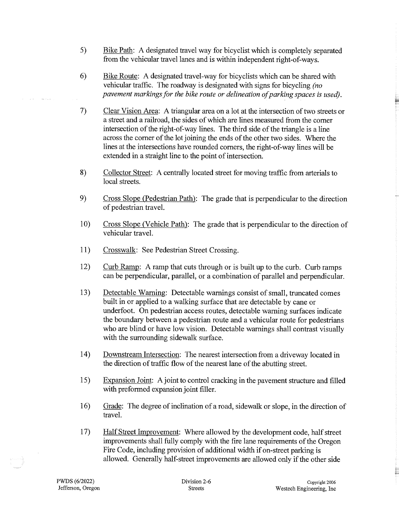- 5) Bike Path: A designated travel way for bicyclist which is completely separated from the vehicular travel lanes and is within independent right-of-ways.
- 6) Bike Route: A designated travel-way for bicyclists which can be shared with vehicular traffic. The roadway is designated with signs for bicycling *(no pavement markings for the bike route or delineation of parking spaces is used).*
- 7) Clear Vision Area: A triangular area on a lot at the intersection of two streets or a street and a railroad, the sides of which are lines measured from the corner intersection of the right-of-way lines. The third side of the triangle is a line across the comer of the lot joining the ends of the other two sides. Where the lines at the intersections have rounded comers, the right-of-way lines will be extended in a straight line to the point of intersection.
- 8) Collector Street: A centrally located street for moving traffic from arterials to local streets.
- 9) Cross Slope (Pedestrian Path): The grade that is perpendicular to the direction of pedestrian travel.
- 10) Cross Slope (Vehicle Path): The grade that is perpendicular to the direction of vehicular travel.
- 11) Crosswalk: See Pedestrian Street Crossing.
- 12) Curb Ramp: A ramp that cuts through or is built up to the curb. Curb ramps can be perpendicular, parallel, or a combination of parallel and perpendicular.
- 13) Detectable Warning: Detectable warnings consist of small, truncated comes built in or applied to a walking surface that are detectable by cane or underfoot. On pedestrian access routes, detectable warning surfaces indicate the boundary between a pedestrian route and a vehicular route for pedestrians who are blind or have low vision. Detectable warnings shall contrast visually with the surrounding sidewalk surface.
- 14) Downstream Intersection: The nearest intersection from a driveway located in the direction of traffic flow of the nearest lane of the abutting street.
- 15) Expansion Joint: A joint to control cracking in the pavement structure and filled with preformed expansion joint filler.
- 16) Grade: The degree of inclination of a road, sidewalk or slope, in the direction of travel.
- 17) Half Street Improvement: Where allowed by the development code, half street improvements shall fully comply with the fire lane requirements of the Oregon Fire Code, including provision of additional width if on-street parking is allowed. Generally half-street improvements are allowed only if the other side

alan di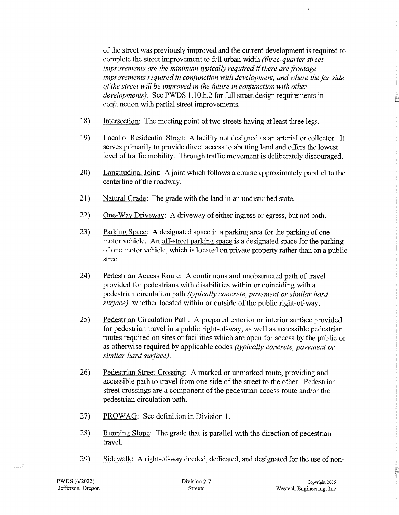of the street was previously improved and the current development is required to complete the street improvement to full urban width *(three-quarter street improvements are the minimum typically required* if *there are frontage improvements required in conjunction with development, and where the far side of the street will be improved in the future in conjunction with other developments).* See PWDS 1.10.h.2 for full street design requirements in conjunction with partial street improvements.

- 18) Intersection: The meeting point of two streets having at least three legs.
- 19) Local or Residential Street: A facility not designed as an arterial or collector. It serves primarily to provide direct access to abutting land and offers the lowest level of traffic mobility. Through traffic movement is deliberately discouraged.
- 20) Longitudinal Joint: A joint which follows a course approximately parallel to the centerline of the roadway.
- 21) Natural Grade: The grade with the land in an undisturbed state.
- 22) One-Way Driveway: A driveway of either ingress or egress, but not both.
- 23) Parking Space: A designated space in a parking area for the parking of one motor vehicle. An off-street parking space is a designated space for the parking of one motor vehicle, which is located on private property rather than on a public street.
- 24) Pedestrian Access Route: A continuous and unobstructed path of travel provided for pedestrians with disabilities within or coinciding with a pedestrian circulation path *(typically concrete, pavement or similar hard surface),* whether located within or outside of the public right-of-way.
- 25) Pedestrian Circulation Path: A prepared exterior or interior surface provided for pedestrian travel in a public right-of-way, as well as accessible pedestrian routes required on sites or facilities which are open for access by the public or as otherwise required by applicable codes *(typically concrete, pavement or similar hard surface).*
- 26) Pedestrian Street Crossing: A marked or unmarked route, providing and accessible path to travel from one side of the street to the other. Pedestrian street crossings are a component of the pedestrian access route and/or the pedestrian circulation path.
- 27) PROWAG: See definition in Division 1.
- 28) Running Slope: The grade that is parallel with the direction of pedestrian travel.
- 29) Sidewalk: A right-of-way deeded, dedicated, and designated for the use of non-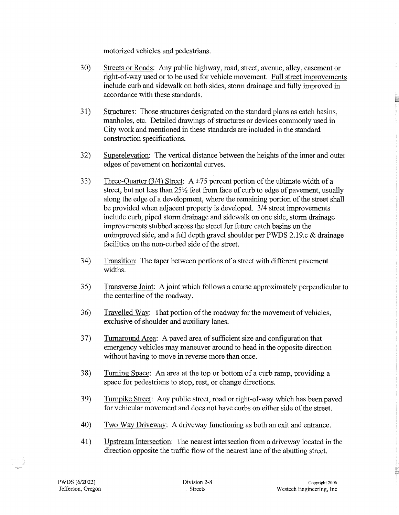motorized vehicles and pedestrians.

- 30) Streets or Roads: Any public highway, road, street, avenue, alley, easement or right-of-way used or to be used for vehicle movement. Full street improvements include curb and sidewalk on both sides, storm drainage and fully improved in accordance with these standards.
- 31) Structures: Those structures designated on the standard plans as catch basins, manholes, etc. Detailed drawings of structures or devices commonly used in City work and mentioned in these standards are included in the standard construction specifications.
- 32) Superelevation: The vertical distance between the heights of the inner and outer edges of pavement on horizontal curves.
- 33) Three-Quarter (3/4) Street:  $A \pm 75$  percent portion of the ultimate width of a street, but not less than *25Yz* feet from face of curb to edge of pavement, usually along the edge of a development, where the remaining portion of the street shall be provided when adjacent property is developed. 3/4 street improvements include curb, piped storm drainage and sidewalk on one side, storm drainage improvements stubbed across the street for future catch basins on the unimproved side, and a full depth gravel shoulder per PWDS 2.19.c & drainage facilities on the non-curbed side of the street.
- 34) Transition: The taper between portions of a street with different pavement widths.
- 35) Transverse Joint: A joint which follows a course approximately perpendicular to the centerline of the roadway.
- 36) Travelled Way: That portion of the roadway for the movement of vehicles, exclusive of shoulder and auxiliary lanes.
- 3 7) Turnaround Area: A paved area of sufficient size and configuration that emergency vehicles may maneuver around to head in the opposite direction without having to move in reverse more than once.
- 3 8) Turning Space: An area at the top or bottom of a curb ramp, providing a space for pedestrians to stop, rest, or change directions.
- 39) Turnpike Street: Any public street, road or right-of-way which has been paved for vehicular movement and does not have curbs on either side of the street.
- 40) Two Way Driveway: A driveway functioning as both an exit and entrance.
- 41) Upstream Intersection: The nearest intersection from a driveway located in the direction opposite the traffic flow of the nearest lane of the abutting street.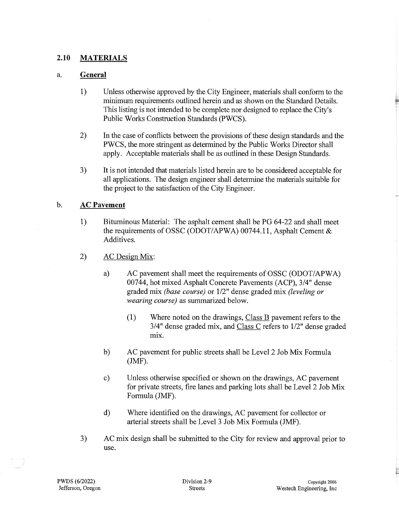### **2.10 MATERIALS**

#### a. **General**

- 1) Unless otherwise approved by the City Engineer, materials shall conform to the minimum requirements outlined herein and as shown on the Standard Details. This listing is not intended to be complete nor designed to replace the City's Public Works Construction Standards (PWCS).
- 2) In the case of conflicts between the provisions of these design standards and the PWCS, the more stringent as determined by the Public Works Director shall apply. Acceptable materials shall be as outlined in these Design Standards.
- 3) It is not intended that materials listed herein are to be considered acceptable for all applications. The design engineer shall determine the materials suitable for the project to the satisfaction of the City Engineer.

#### b. AC **Pavement**

- 1) Bituminous Material: The asphalt cement shall be PG 64-22 and shall meet the requirements of OSSC (ODOT/APWA) 00744.11, Asphalt Cement  $&$ Additives.
- 2) AC Design Mix:
	- a) AC pavement shall meet the requirements of OSSC (ODOT/APWA) 00744, hot mixed Asphalt Concrete Pavements (ACP), 3/4" dense graded mix *(base course)* or 1/2" dense graded mix *(leveling or wearing course)* as summarized below.
		- (1) Where noted on the drawings, Class B pavement refers to the 3/4" dense graded mix, and Class C refers to 1/2" dense graded mix.
	- b) AC pavement for public streets shall be Level 2 Job Mix Formula (JMF).
	- c) Unless otherwise specified or shown on the drawings, AC pavement for private streets, fire lanes and parking lots shall be Level 2 Job Mix Formula (JMF).
	- d) Where identified on the drawings, AC pavement for collector or arterial streets shall be Level 3 Job Mix Formula (JMF).
- 3) AC mix design shall be submitted to the City for review and approval prior to use.

È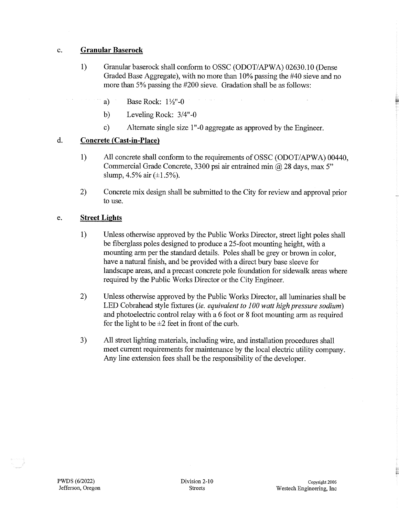#### c. **Granular Baserock**

- 1) Granular baserock shall conform to OSSC (ODOT/APWA) 02630.10 (Dense Graded Base Aggregate), with no more than 10% passing the #40 sieve and no more than 5% passing the #200 sieve. Gradation shall be as follows:
	- a) Base Rock: 1 *W'-0*
	- b) Leveling Rock: 3/4"-0
	- c) Alternate single size 1"-0 aggregate as approved by the Engineer.

#### d. **Concrete (Cast-in-Place)**

- 1) All concrete shall conform to the requirements of OSSC (ODOT/APWA) 00440, Commercial Grade Concrete, 3300 psi air entrained min  $\omega$  28 days, max 5" slump,  $4.5\%$  air  $(\pm 1.5\%)$ .
- 2) Concrete mix design shall be submitted to the City for review and approval prior to use.

#### e. **Street Lights**

- 1) Unless otherwise approved by the Public Works Director, street light poles shall be fiberglass poles designed to produce a 25-foot mounting height, with a mounting arm per the standard details. Poles shall be grey or brown in color, have a natural finish, and be provided with a direct bury base sleeve for landscape areas, and a precast concrete pole foundation for sidewalk areas where required by the Public Works Director or the City Engineer.
- 2) Unless otherwise approved by the Public Works Director, all luminaries shall be LED Cobrahead style fixtures *(ie. equivalent to 100 watt high pressure sodium)*  and photoelectric control relay with a 6 foot or 8 foot mounting arm as required for the light to be  $\pm 2$  feet in front of the curb.
- 3) All street lighting materials, including wire, and installation procedures shall meet current requirements for maintenance by the local electric utility company. Any line extension fees shall be the responsibility of the developer.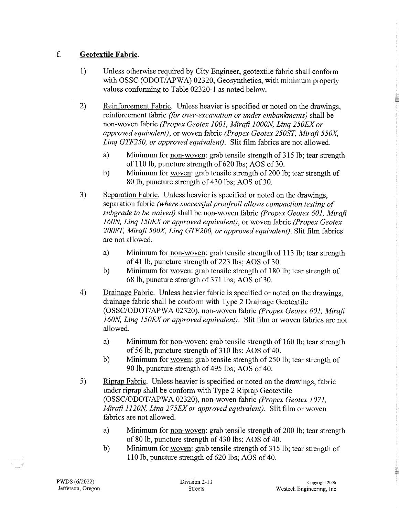### f. **Geotextile Fabric.**

- 1) Unless otherwise required by City Engineer, geotextile fabric shall conform with OSSC (ODOT/APWA) 02320, Geosynthetics, with minimum property values conforming to Table 02320-1 as noted below.
- 2) Reinforcement Fabric. Unless heavier is specified or noted on the drawings, reinforcement fabric *(for over-excavation or under embankments)* shall be non-woven fabric *(Propex Geotex 1001, Mirafi 1000N, Linq 250EX or approved equivalent),* or woven fabric *(Propex Geotex 250ST, Mirafi 550.X, Linq GTF250, or approved equivalent).* Slit film fabrics are not allowed.
	- a) Minimum for non-woven: grab tensile strength of 315 lb; tear strength of 110 lb, puncture strength of 620 lbs; AOS of 30.
	- b) Minimum for woven: grab tensile strength of 200 lb; tear strength of 80 lb, puncture strength of 430 lbs; AOS of 30.
- 3) Separation Fabric. Unless heavier is specified or noted on the drawings, separation fabric *(where successful proofroll allows compaction testing of subgrade to be waived)* shall be non-woven fabric *(Propex Geotex 601, Mirafi 160N, Linq 150EX or approved equivalent),* or woven fabric *(Propex Geotex 200ST, Mirafi 500.X, Linq GTF200, or approved equivalent).* Slit film fabrics are not allowed.
	- a) Minimum for non-woven: grab tensile strength of 113 lb; tear strength of 41 lb, puncture strength of 223 lbs; AOS of 30.
	- b) Minimum for woven: grab tensile strength of 180 lb; tear strength of 68 lb, puncture strength of 371 lbs; AOS of 30.
- 4) Drainage Fabric. Unless heavier fabric is specified or noted on the drawings, drainage fabric shall be conform with Type 2 Drainage Geotextile (OSSC/ODOT/APWA 02320), non-woven fabric *(Propex Geotex 601, Mirafi 160N, Linq 150EX or approved equivalent).* Slit film or woven fabrics are not allowed.
	- a) Minimum for non-woven: grab tensile strength of 160 lb; tear strength of 56 lb, puncture strength of 310 lbs; AOS of 40.
	- b) Minimum for woven: grab tensile strength of 250 lb; tear strength of 90 lb, puncture strength of 495 lbs; AOS of 40.
- 5) Riprap Fabric. Unless heavier is specified or noted on the drawings, fabric under riprap shall be conform with Type 2 Riprap Geotextile (OSSC/ODOT/APWA 02320), non-woven fabric *(Propex Geotex 1071, Mirafi 1120N, Linq 275EX or approved equivalent).* Slit film or woven fabrics are not allowed.
	- a) Minimum for non-woven: grab tensile strength of 200 lb; tear strength of 80 lb, puncture strength of 430 lbs; AOS of 40.
	- b) Minimum for woven: grab tensile strength of 315 lb; tear strength of 110 lb, puncture strength of 620 lbs; AOS of 40.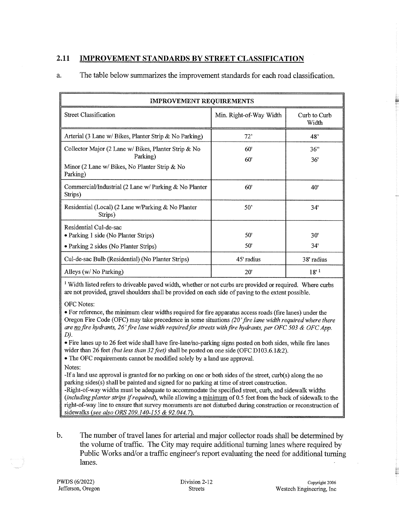## **2.11 IMPROVEMENT STANDARDS BY STREET CLASSIFICATION**

a. The table below summarizes the improvement standards for each road classification.

| <b>IMPROVEMENT REQUIREMENTS</b>                                                                                                  |                         |                       |  |
|----------------------------------------------------------------------------------------------------------------------------------|-------------------------|-----------------------|--|
| <b>Street Classification</b>                                                                                                     | Min. Right-of-Way Width | Curb to Curb<br>Width |  |
| Arterial (3 Lane w/ Bikes, Planter Strip & No Parking)                                                                           | 72'                     | 48'                   |  |
| Collector Major (2 Lane w/ Bikes, Planter Strip & No<br>Parking)<br>Minor (2 Lane w/ Bikes, No Planter Strip $\&$ No<br>Parking) | 60'<br>60'              | 36"<br>36'            |  |
| Commercial/Industrial (2 Lane w/ Parking & No Planter<br>Strips)                                                                 | 60'                     | 40'                   |  |
| Residential (Local) (2 Lane w/Parking & No Planter<br>Strips)                                                                    | 50 <sup>'</sup>         | 34'                   |  |
| Residential Cul-de-sac<br>• Parking 1 side (No Planter Strips)<br>• Parking 2 sides (No Planter Strips)                          | 50'<br>50'              | 30'<br>34'            |  |
| Cul-de-sac Bulb (Residential) (No Planter Strips)                                                                                | 45' radius              | 38' radius            |  |
| Alleys (w/No Parking)                                                                                                            | 20'                     | $18'$ <sup>1</sup>    |  |

<sup>1</sup> Width listed refers to driveable paved width, whether or not curbs are provided or required. Where curbs are not provided, gravel shoulders shall be provided on each side of paving to the extent possible.

OFC Notes:

•For reference, the minimum clear widths required for fire apparatus access roads (fire lanes) under the Oregon Fire Code (OFC) may take precedence in some situations *(20 'fire lane width required where there are no fire hydrants, 26'fire lane width required for streets with fire hydrants, per OFC 503* & *OFC App.*  D).

•Fire lanes up to 26 feet wide shall have fire-lane/no-parking signs posted on both sides, while fire lanes wider than 26 feet *(but less than 32 feet)* shall be posted on one side (OFC D103 .6.1&2).

• The OFC requirements cannot be modified solely by a land use approval.

Notes:

-If a land use approval is granted for no parking on one or both sides of the street, curb(s) along the no parking sides(s) shall be painted and signed for no parking at time of street construction.

-Right-of-way widths must be adequate to accommodate the specified street, curb, and sidewalk widths *(including planter strips* if *required),* while allowing a minimum of 0.5 feet from the back of sidewalk to the right-of-way line to ensure that survey monuments are not disturbed during construction or reconstruction of sidewalks *(see also ORS 209.140-155* & *92.044.7).* 

b. The number of travel lanes for arterial and major collector roads shall be determined by the volume of traffic. The City may require additional turning lanes where required by Public Works and/or a traffic engineer's report evaluating the need for additional turning lanes.

E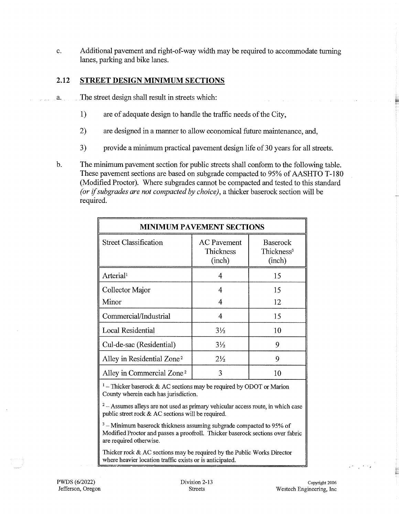c. Additional pavement and right-of-way width may be required to accommodate turning lanes, parking and bike lanes.

## **2.12 STREET DESIGN MINIMUM SECTIONS**

- a. The street design shall result in streets which:
	- 1) are of adequate design to handle the traffic needs of the City,
	- 2) are designed in a manner to allow economical future maintenance, and,
	- 3) provide a minimum practical pavement design life of 30 years for all streets.
	- b. The minimum pavement section for public streets shall conform to the following table. These pavement sections are based on subgrade compacted to 95% of AASHTO T-180 (Modified Proctor). Where subgrades cannot be compacted and tested to this standard *(or* if *subgrades are not compacted by choice),* a thicker baserock section will be required.

| <b>MINIMUM PAVEMENT SECTIONS</b>                                                                                                           |                                           |                                                     |  |
|--------------------------------------------------------------------------------------------------------------------------------------------|-------------------------------------------|-----------------------------------------------------|--|
| <b>Street Classification</b>                                                                                                               | <b>AC</b> Pavement<br>Thickness<br>(inch) | <b>Baserock</b><br>Thickness <sup>3</sup><br>(inch) |  |
| Arterial <sup>1</sup>                                                                                                                      | 4                                         | 15                                                  |  |
| Collector Major                                                                                                                            | 4                                         | 15                                                  |  |
| Minor                                                                                                                                      | 4                                         | 12                                                  |  |
| Commercial/Industrial                                                                                                                      | 4                                         | 15                                                  |  |
| <b>Local Residential</b>                                                                                                                   | $3\frac{1}{2}$                            | 10                                                  |  |
| Cul-de-sac (Residential)<br>$3\frac{1}{2}$<br>9                                                                                            |                                           |                                                     |  |
| Alley in Residential Zone <sup>2</sup>                                                                                                     | $2\frac{1}{2}$                            | 9                                                   |  |
| Alley in Commercial Zone <sup>2</sup>                                                                                                      | 3                                         | 10                                                  |  |
| $1$ – Thicker baserock & AC sections may be required by ODOT or Marion<br>County wherein each has jurisdiction.                            |                                           |                                                     |  |
| $2 -$ Assumes alleys are not used as primary vehicular access route, in which case<br>public street rock $& AC$ sections will be required. |                                           |                                                     |  |

 $3 -$ Minimum baserock thickness assuming subgrade compacted to 95% of Modified Proctor and passes a proofroll. Thicker baserock sections over fabric are required otherwise.

Thicker rock & AC sections may be required by the Public Works Director where heavier location traffic exists or is anticipated.

=-=-

أترجيني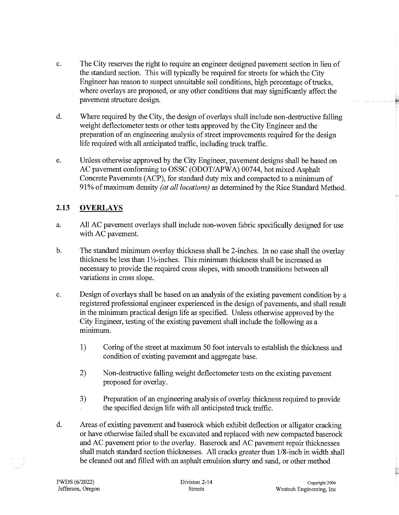- c. The City reserves the right to require an engineer designed pavement section in lieu of the standard section. This will typically be required for streets for which the City Engineer has reason to suspect unsuitable soil conditions, high percentage of trucks, where overlays are proposed, or any other conditions that may significantly affect the pavement structure design.
- d. Where required by the City, the design of overlays shall include non-destructive falling weight deflectometer tests or other tests approved by the City Engineer and the preparation of an engineering analysis of street improvements required for the design life required with all anticipated traffic, including truck traffic.
- e. Unless otherwise approved by the City Engineer, pavement designs shall be based on AC pavement conforming to OSSC (ODOT/APWA) 00744, hot mixed Asphalt Concrete Pavements (ACP), for standard duty mix and compacted to a minimum of 91 % of maximum density *(at all locations)* as determined by the Rice Standard Method.

## 2.13 **OVERLAYS**

- a. All AC pavement overlays shall include non-woven fabric specifically designed for use with AC pavement.
- b. The standard minimum overlay thickness shall be 2-inches. In no case shall the overlay thickness be less than  $1\frac{1}{2}$ -inches. This minimum thickness shall be increased as necessary to provide the required cross slopes, with smooth transitions between all variations in cross slope.
- c. Design of overlays shall be based on an analysis of the existing pavement condition by a registered professional engineer experienced in the design of pavements, and shall result in the minimum practical design life as specified. Unless otherwise approved by the City Engineer, testing of the existing pavement shall include the following as a mimmum.
	- 1) Coring of the street at maximum 50 foot intervals to establish the thickness and condition of existing pavement and aggregate base.
	- 2) Non-destructive falling weight deflectometer tests on the existing pavement proposed for overlay.
	- 3) Preparation of an engineering analysis of overlay thickness required to provide the specified design life with all anticipated truck traffic.
- d. Areas of existing pavement and baserock which exhibit deflection or alligator cracking or have otherwise failed shall be excavated and replaced with new compacted baserock and AC pavement prior to the overlay. Baserock and AC pavement repair thicknesses shall match standard section thicknesses. All cracks greater than 1/8-inch in width shall be cleaned out and filled with an asphalt emulsion slurry and sand, or other method

Ξ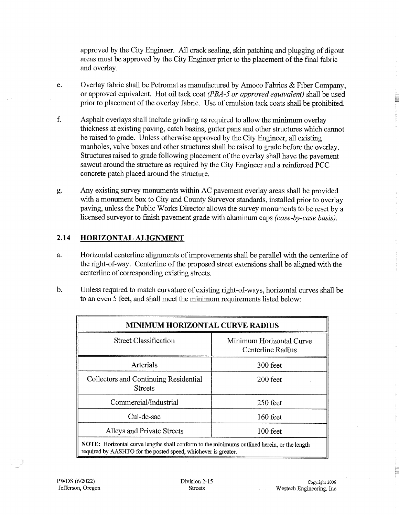approved by the City Engineer. All crack sealing, skin patching and plugging of digout areas must be approved by the City Engineer prior to the placement of the final fabric and overlay.

- e. Overlay fabric shall be Petromat as manufactured by Amoco Fabrics & Fiber Company, or approved equivalent. Hot oil tack coat *(P BA-5 or approved equivalent)* shall be used prior to placement of the overlay fabric. Use of emulsion tack coats shall be prohibited.
- f. Asphalt overlays shall include grinding as required to allow the minimum overlay thickness at existing paving, catch basins, gutter pans and other structures which cannot be raised to grade. Unless otherwise approved by the City Engineer, all existing manholes, valve boxes and other structures shall be raised to grade before the overlay. Structures raised to grade following placement of the overlay shall have the pavement sawcut around the structure as required by the City Engineer and a reinforced PCC concrete patch placed around the structure.
- g. Any existing survey monuments within AC pavement overlay areas shall be provided with a monument box to City and County Surveyor standards, installed prior to overlay paving, unless the Public Works Director allows the survey monuments to be reset by a licensed surveyor to finish pavement grade with aluminum caps *(case-by-case basis).*

## **2.14 HORIZONTAL ALIGNMENT**

- a. Horizontal centerline alignments of improvements shall be parallel with the centerline of the right-of-way. Centerline of the proposed street extensions shall be aligned with the centerline of corresponding existing streets.
- b. Unless required to match curvature of existing right-of-ways, horizontal curves shall be to an even 5 feet, and shall meet the minimum requirements listed below:

| MINIMUM HORIZONTAL CURVE RADIUS                         |                                               |  |
|---------------------------------------------------------|-----------------------------------------------|--|
| <b>Street Classification</b>                            | Minimum Horizontal Curve<br>Centerline Radius |  |
| Arterials                                               | 300 feet                                      |  |
| Collectors and Continuing Residential<br><b>Streets</b> | 200 feet                                      |  |
| Commercial/Industrial                                   | 250 feet                                      |  |
| Cul-de-sac                                              | 160 feet                                      |  |
| Alleys and Private Streets                              | $100$ feet                                    |  |

PWDS (6/2022) Jefferson, Oregon  $\sim$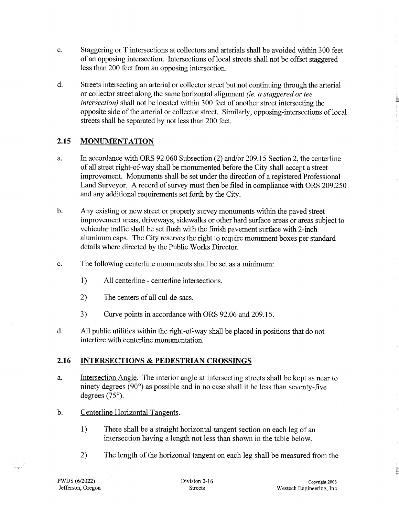- c. Staggering or T intersections at collectors and arterials shall be avoided within 300 feet of an opposing intersection. Intersections of local streets shall not be offset staggered less than 200 feet from an opposing intersection.
- d. Streets intersecting an arterial or collector street but not continuing through the arterial or collector street along the same horizontal alignment *(ie. a staggered or tee intersection)* shall not be located within 300 feet of another street intersecting the opposite side of the arterial or collector street. Similarly, opposing-intersections of local streets shall be separated by not less than 200 feet.

### **2.15 MONUMENTATION**

- a. In accordance with ORS 92.060 Subsection (2) and/or 209 .15 Section 2, the centerline of all street right-of-way shall be monumented before the City shall accept a street improvement. Monuments shall be set under the direction of a registered Professional Land Surveyor. A record of survey must then be filed in compliance with ORS 209.250 and any additional requirements set forth by the City.
- b. Any existing or new street or property survey monuments within the paved street improvement areas, driveways, sidewalks or other hard surface areas or areas subject to vehicular traffic shall be set flush with the finish pavement surface with 2-inch aluminum caps. The City reserves the right to require monument boxes per standard details where directed by the Public Works Director.
- c. The following centerline monuments shall be set as a minimum:
	- 1) All centerline centerline intersections.
	- 2) The centers of all cul-de-sacs.
	- 3) Curve points in accordance with ORS 92.06 and 209.15.
- d. All public utilities within the right-of-way shall be placed in positions that do not interfere with centerline monumentation.

### **2.16 INTERSECTIONS & PEDESTRIAN CROSSINGS**

- a. Intersection Angle. The interior angle at intersecting streets shall be kept as near to ninety degrees (90°) as possible and in no case shall it be less than seventy-five degrees (75°).
- b. Centerline Horizontal Tangents.
	- 1) There shall be a straight horizontal tangent section on each leg of an intersection having a length not less than shown in the table below.
	- 2) The length of the horizontal tangent on each leg shall be measured from the

PWDS (6/2022) Jefferson, Oregon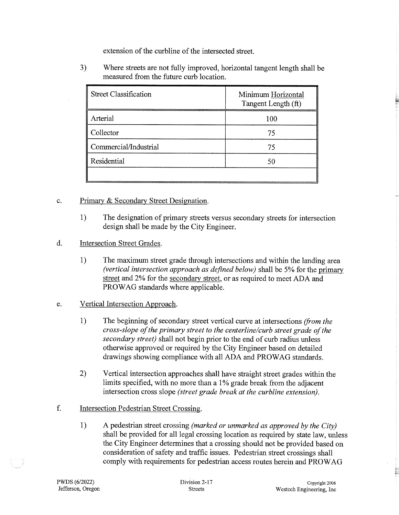extension of the curbline of the intersected street.

3) Where streets are not fully improved, horizontal tangent length shall be measured from the future curb location.

| <b>Street Classification</b> | Minimum Horizontal<br>Tangent Length (ft) |
|------------------------------|-------------------------------------------|
| Arterial                     | 100                                       |
| Collector                    | 75                                        |
| Commercial/Industrial        | 75                                        |
| Residential                  | 50                                        |
|                              |                                           |

#### c. Primary & Secondary Street Designation.

- 1) The designation of primary streets versus secondary streets for intersection design shall be made by the City Engineer.
- d. Intersection Street Grades.
	- 1) The maximum street grade through intersections and within the landing area *(vertical intersection approach as defined below)* shall be 5% for the primary street and 2% for the secondary street, or as required to meet ADA and PROWAG standards where applicable.

### e. Vertical Intersection Approach.

- 1) The beginning of secondary street vertical curve at intersections *(from the cross-slope of the primary street to the centerline/curb street grade of the secondary street)* shall not begin prior to the end of curb radius unless otherwise approved or required by the City Engineer based on detailed drawings showing compliance with all ADA and PROWAG standards.
- 2) Vertical intersection approaches shall have straight street grades within the limits specified, with no more than a 1% grade break from the adjacent intersection cross slope *(street grade break at the curbline extension).*
- f. Intersection Pedestrian Street Crossing.
	- 1) A pedestrian street crossing *(marked or unmarked as approved by the City)*  shall be provided for all legal crossing location as required by state law, unless the City Engineer determines that a crossing should not be provided based on consideration of safety and traffic issues. Pedestrian street crossings shall comply with requirements for pedestrian access routes herein and PROW AG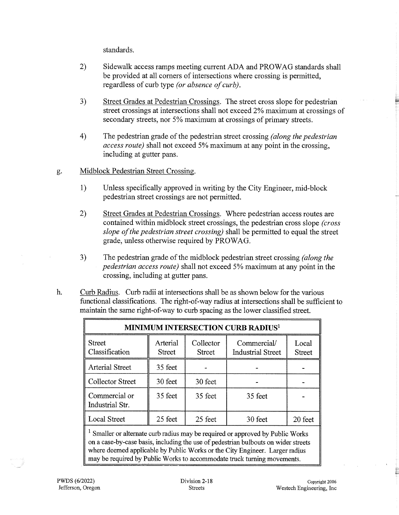standards.

- 2) Sidewalk access ramps meeting current ADA and PROWAG standards shall be provided at all comers of intersections where crossing is permitted, regardless of curb type *(or absence of curb).*
- 3) Street Grades at Pedestrian Crossings. The street cross slope for pedestrian street crossings at intersections shall not exceed 2% maximum at crossings of secondary streets, nor 5% maximum at crossings of primary streets.
- 4) The pedestrian grade of the pedestrian street crossing *(along the pedestrian access route)* shall not exceed 5% maximum at any point in the crossing, including at gutter pans.
- g. Midblock Pedestrian Street Crossing.
	- 1) Unless specifically approved in writing by the City Engineer, mid-block pedestrian street crossings are not permitted.
	- 2) Street Grades at Pedestrian Crossings. Where pedestrian access routes are contained within midblock street crossings, the pedestrian cross slope *(cross slope of the pedestrian street crossing)* shall be permitted to equal the street grade, unless otherwise required by PROWAG.
	- 3) The pedestrian grade of the midblock pedestrian street crossing *(along the pedestrian access route)* shall not exceed 5% maximum at any point in the crossing, including at \_gutter pans.
- h. Curb Radius. Curb radii at intersections shall be as shown below for the various functional classifications. The right-of-way radius at intersections shall be sufficient to maintain the same right-of-way to curb spacing as the lower classified street.

| MINIMUM INTERSECTION CURB RADIUS <sup>1</sup> |                           |                            |                                         |                        |
|-----------------------------------------------|---------------------------|----------------------------|-----------------------------------------|------------------------|
| <b>Street</b><br>Classification               | Arterial<br><b>Street</b> | Collector<br><b>Street</b> | Commercial/<br><b>Industrial Street</b> | Local<br><b>Street</b> |
| <b>Arterial Street</b>                        | 35 feet                   |                            |                                         |                        |
| <b>Collector Street</b>                       | 30 feet                   | 30 feet                    |                                         |                        |
| Commercial or<br>Industrial Str.              | 35 feet                   | 35 feet                    | 35 feet                                 |                        |
| <b>Local Street</b>                           | 25 feet                   | 25 feet                    | 30 feet                                 | 20 feet                |

<sup>1</sup> Smaller or alternate curb radius may be required or approved by Public Works on a case-by-case basis, including the use of pedestrian bulbouts on wider streets where deemed applicable by Public Works or the City Engineer. Larger radius may be required by Public Works to accommodate truck turning movements.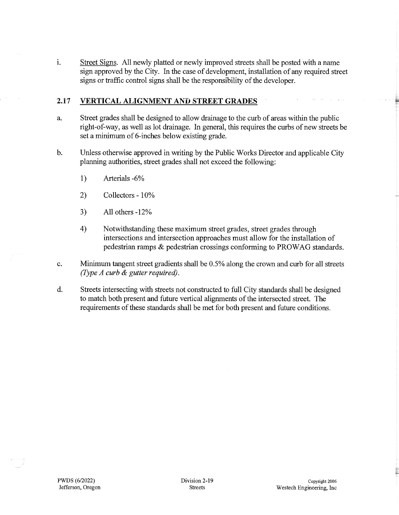i. Street Signs. All newly platted or newly improved streets shall be posted with a name sign approved by the City. In the case of development, installation of any required street signs or traffic control signs shall be the responsibility of the developer.

#### 2.17 VERTICAL ALIGNMENT AND STREET GRADES

- a. Street grades shall be designed to allow drainage to the curb of areas within the public right-of-way, as well as lot drainage. In general, this requires the curbs of new streets be set a minimum of 6-inches below existing grade.
- b. Unless otherwise approved in writing by the Public Works Director and applicable City planning authorities, street grades shall not exceed the following:
	- 1) Arterials -6%
	- 2) Collectors 10%
	- 3) All others -12%
	- 4) Notwithstanding these maximum street grades, street grades through intersections and intersection approaches must allow for the installation of pedestrian ramps & pedestrian crossings conforming to PROW AG standards.
- c. Minimum tangent street gradients shall be 0.5% along the crown and curb for all streets *(Type A curb* & *gutter required).*
- d. Streets intersecting with streets not constructed to full City standards shall be designed to match both present and future vertical alignments of the intersected street. The requirements of these standards shall be met for both present and future conditions.

Ξ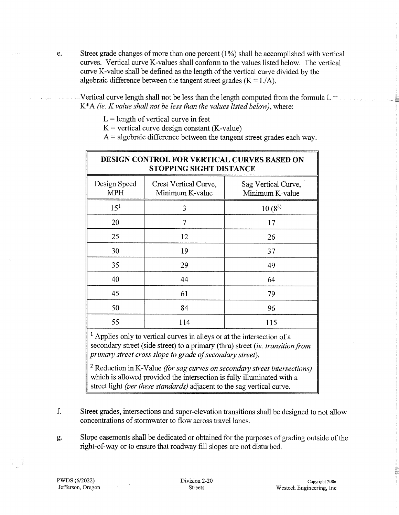e. Street grade changes of more than one percent (1%) shall be accomplished with vertical curves. Vertical curve K-values shall conform to the values listed below. The vertical curve K-value shall be defined as the length of the vertical curve divided by the algebraic difference between the tangent street grades  $(K = L/A)$ .

Vertical curve length shall not be less than the length computed from the formula  $L =$ K\* A *(ie. K value shall not be less than the values listed below),* where:

- $L =$  length of vertical curve in feet
- $K =$  vertical curve design constant (K-value)
- $A =$  algebraic difference between the tangent street grades each way.

| DESIGN CONTROL FOR VERTICAL CURVES BASED ON<br><b>STOPPING SIGHT DISTANCE</b> |                                          |                                        |  |
|-------------------------------------------------------------------------------|------------------------------------------|----------------------------------------|--|
| Design Speed<br><b>MPH</b>                                                    | Crest Vertical Curve,<br>Minimum K-value | Sag Vertical Curve,<br>Minimum K-value |  |
| $15^{1}$                                                                      | 3                                        | $10(8^2)$                              |  |
| 20                                                                            | 7                                        | 17                                     |  |
| 25                                                                            | 12                                       | 26                                     |  |
| 30                                                                            | 19                                       | 37                                     |  |
| 35                                                                            | 29                                       | 49                                     |  |
| 40                                                                            | 44                                       | 64                                     |  |
| 45                                                                            | 61                                       | 79                                     |  |
| 50                                                                            | 84                                       | 96                                     |  |
| 55                                                                            | 114                                      | 115                                    |  |

<sup>1</sup> Applies only to vertical curves in alleys or at the intersection of a secondary street (side street) to a primary (thru) street *(ie. transition.from primary street cross slope to grade of secondary street).* 

<sup>2</sup>Reduction in K-Value *(for sag curves on secondary street intersections)*  which is allowed provided the intersection is fully illuminated with a street light *(per these standards)* adjacent to the sag vertical curve.

- f. Street grades, intersections and super-elevation transitions shall be designed to not allow concentrations of stormwater to flow across travel lanes.
- g. Slope easements shall be dedicated or obtained for the purposes of grading outside of the right-of-way or to ensure that roadway fill slopes are not disturbed.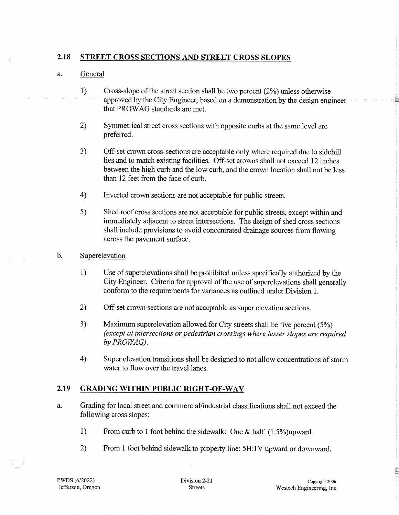#### **2.18 STREET CROSS SECTIONS AND STREET CROSS SLOPES**

#### a. General

- 1) Cross-slope of the street section shall be two percent (2%) unless otherwise approved by the City Engineer, based 011 a demonstration by the design engineer that PROWAG standards are met.
- 2) Symmetrical street cross sections with opposite curbs at the same level are preferred.
- 3) Off-set crown cross-sections are acceptable only where required due to sidehill lies and to match existing facilities. Off-set crowns shall not exceed 12 inches between the high curb and the low curb, and the crown location shall not be less than 12 feet from the face of curb.
- 4) Inverted crown sections are not acceptable for public streets.
- 5) Shed roof cross sections are not acceptable for public streets, except within and immediately adjacent to street intersections. The design of shed cross sections shall include provisions to avoid concentrated drainage sources from flowing across the pavement surface.
- b. Superelevation
	- 1) Use of superelevations shall be prohibited unless specifically authorized by the City Engineer. Criteria for approval of the use of superelevations shall generally conform to the requirements for variances as outlined under Division 1.
	- 2) Off-set crown sections are not acceptable as super elevation sections.
	- 3) Maximum superelevation allowed for City streets shall be five percent (5%) *(except at intersections or pedestrian crossings where lesser slopes are required byPROWAG).*
	- 4) Super elevation transitions shall be designed to not allow concentrations of storm water to flow over the travel lanes.

### **2.19 GRADING WITHIN PUBLIC RIGHT-OF-WAY**

- a. Grading for local street and commercial/industrial classifications shall not exceed the following cross slopes:
	- 1) From curb to 1 foot behind the sidewalk: One & half (1.5%)upward.
	- 2) From 1 foot behind sidewalk to property line: 5H:1V upward or downward.

···~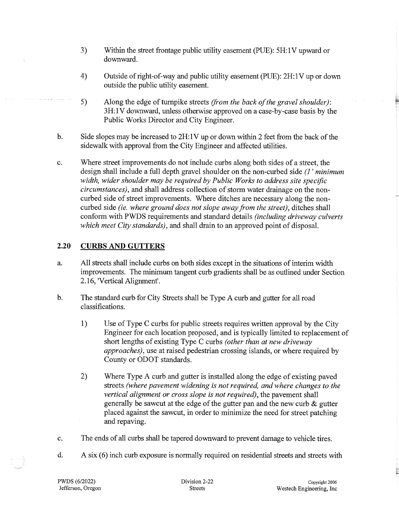- 3) Within the street frontage public utility easement (PUE): SH: 1 V upward or downward.
- 4) Outside of right-of-way and public utility easement (PUE): 2H:l V up or down outside the public utility easement.
- 5) Along the edge of turnpike streets *(from the back of the gravel shoulder):*  3H: 1 V downward, unless otherwise approved on a case-by-case basis by the Public Works Director and City Engineer.
- b. Side slopes may be increased to 2H:1V up or down within 2 feet from the back of the sidewalk with approval from the City Engineer and affected utilities.
- c. Where street improvements do not include curbs along both sides of a street, the design shall include a full depth gravel shoulder on the non-curbed side *(1* ' *minimum width, wider shoulder may be required by Public Works to address site specific circumstances),* and shall address collection of storm water drainage on the noncurbed side of street improvements. Where ditches are necessary along the noncurbed side *(ie. where ground does not slope away from the street),* ditches shall conform with PWDS requirements and standard details *(including driveway culverts which meet City standards),* and shall drain to an approved point of disposal.

## **2.20 CURBS AND GUTTERS**

- a. All streets shall include curbs on both sides except in the situations of interim width improvements. The minimum tangent curb gradients shall be as outlined under Section 2.16, 'Vertical Alignment'.
- b. The standard curb for City Streets shall be Type A curb and gutter for all road classifications.
	- 1) Use of Type C curbs for public streets requires written approval by the City Engineer for each location proposed, and is typically limited to replacement of short lengths of existing Type C curbs *(other than at new driveway approaches),* use at raised pedestrian crossing islands, or where required by County or ODOT standards.
	- 2) Where Type A curb and gutter is installed along the edge of existing paved streets *(where pavement widening is not required, and where changes to the vertical alignment or cross slope is not required),* the pavement shall generally be sawcut at the edge of the gutter pan and the new curb  $\&$  gutter placed against the sawcut, in order to minimize the need for street patching and repaving.
- c. The ends of all curbs shall be tapered downward to prevent damage to vehicle tires.
- d. A six (6) inch curb exposure is normally required on residential streets and streets with

E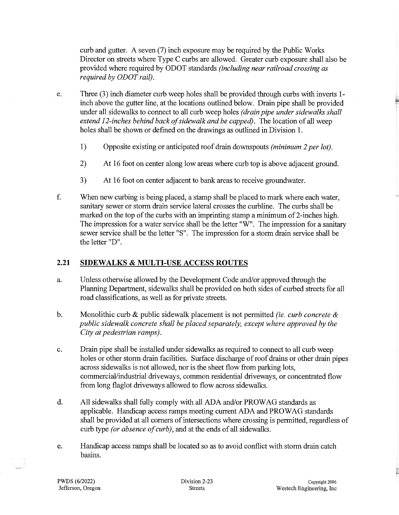curb and gutter. A seven (7) inch exposure may be required by the Public Works Director on streets where Type C curbs are allowed. Greater curb exposure shall also be provided where required by ODOT standards *(including near railroad crossing as required by ODOT rail).* 

- e. Three (3) inch diameter curb weep holes shall be provided through curbs with inverts 1 inch above the gutter line, at the locations outlined below. Drain pipe shall be provided under all sidewalks to connect to all curb weep holes *(drain pipe under sidewalks shall extend 12-inches behind back of sidewalk and be capped).* The location of all weep holes shall be shown or defined on the drawings as outlined in Division 1.
	- 1) Opposite existing or anticipated roof drain downspouts *(minimum 2 per lot).*
	- 2) At 16 foot on center along low areas where curb top is above adjacent ground.
	- 3) At 16 foot on center adjacent to bank areas to receive groundwater.
- f. When new curbing is being placed, a stamp shall be placed to mark where each water, sanitary sewer or storm drain service lateral crosses the curbline. The curbs shall be marked on the top of the curbs with an imprinting stamp a minimum of 2-inches high. The impression for a water service shall be the letter "W". The impression for a sanitary sewer service shall be the letter "S". The impression for a storm drain service shall be the letter "D".

## **2.21 SIDEWALKS & MULTI-USE ACCESS ROUTES**

- a. Unless otherwise allowed by the Development Code and/or approved through the Planning Department, sidewalks shall be provided on both sides of curbed streets for all road classifications, as well as for private streets.
- b. Monolithic curb & public sidewalk placement is not permitted *(ie. curb concrete* & *public sidewalk concrete shall be placed separately, except where approved by the City at pedestrian ramps).*
- c. Drain pipe shall be installed under sidewalks as required to connect to all curb weep holes or other storm drain facilities. Surface discharge of roof drains or other drain pipes across sidewalks is not allowed, nor is the sheet flow from parking lots, commercial/industrial driveways, common residential driveways, or concentrated flow from long flaglot driveways allowed to flow across sidewalks.
- d. All sidewalks shall fully comply with all ADA and/or PROW AG standards as applicable. Handicap access ramps meeting current ADA and PROW AG standards shall be provided at all comers of intersections where crossing is permitted, regardless of curb type *(or absence of curb),* and at the ends of all sidewalks.
- e. Handicap access ramps shall be located so as to avoid conflict with storm drain catch basins.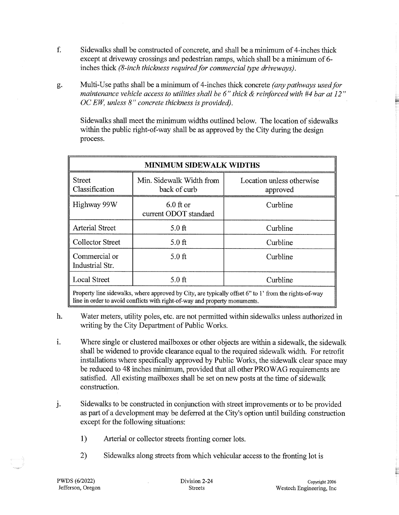- f. Sidewalks shall be constructed of concrete, and shall be a minimum of 4-inches thick except at driveway crossings and pedestrian ramps, which shall be a minimum of 6 inches thick *(8-inch thickness required for commercial type driveways).*
- g. Multi-Use paths shall be a minimum of 4-inches thick concrete *(any pathways used for maintenance vehicle access to utilities shall be 6" thick* & *reinforced with #4 bar at 12" OC EW, unless 8" concrete thickness is provided).*

Sidewalks shall meet the minimum widths outlined below. The location of sidewalks within the public right-of-way shall be as approved by the City during the design process.

| <b>MINIMUM SIDEWALK WIDTHS</b>                                                                        |                                          |                                       |  |
|-------------------------------------------------------------------------------------------------------|------------------------------------------|---------------------------------------|--|
| <b>Street</b><br>Classification                                                                       | Min. Sidewalk Width from<br>back of curb | Location unless otherwise<br>approved |  |
| Highway 99W                                                                                           | $6.0$ ft or<br>current ODOT standard     | Curbline                              |  |
| <b>Arterial Street</b>                                                                                | $5.0$ ft                                 | Curbline                              |  |
| <b>Collector Street</b>                                                                               | $5.0$ ft                                 | Curbline                              |  |
| Commercial or<br>Industrial Str.                                                                      | $5.0$ ft                                 | Curbline                              |  |
| <b>Local Street</b>                                                                                   | $5.0$ ft                                 | Curbline                              |  |
| Property line sidewalks, where approved by City, are typically offset 6" to 1' from the rights-of-way |                                          |                                       |  |

line in order to avoid conflicts with right-of-way and property monuments.

- h. Water meters, utility poles, etc. are not permitted within sidewalks unless authorized in writing by the City Department of Public Works.
- 1. Where single or clustered mailboxes or other objects are within a sidewalk, the sidewalk shall be widened to provide clearance equal to the required sidewalk width. For retrofit installations where specifically approved by Public Works, the sidewalk clear space may be reduced to 48 inches minimum, provided that all other PROW AG requirements are satisfied. All existing mailboxes shall be set on new posts at the time of sidewalk construction.
- J. Sidewalks to be constructed in conjunction with street improvements or to be provided as part of a development may be deferred at the City's option until building construction except for the following situations:
	- 1) Arterial or collector streets fronting comer lots.
	- 2) Sidewalks along streets from which vehicular access to the fronting lot is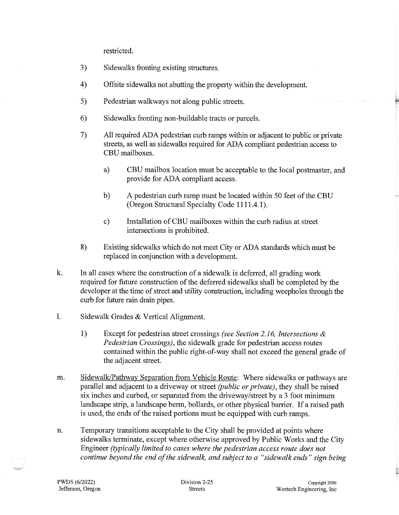restricted.

- 3) Sidewalks fronting existing structures.
- 4) Offsite sidewalks not abutting the property within the development.
- 5) Pedestrian walkways not along public streets.
- 6) Sidewalks fronting non-buildable tracts or parcels.
- 7) All required ADA pedestrian curb ramps within or adjacent to public or private streets, as well as sidewalks required for ADA compliant pedestrian access to CBU mailboxes.
	- a) CBU mailbox location must be acceptable to the local postmaster, and provide for ADA compliant access.
	- b) A pedestrian curb ramp must be located within 50 feet of the CBU (Oregon Structural Specialty Code 1111.4.1 ).
	- c) Installation of CBU mailboxes within the curb radius at street intersections is prohibited.
- 8) Existing sidewalks which do not meet City or ADA standards which must be replaced in conjunction with a development.
- k. In all cases where the construction of a sidewalk is deferred, all grading work required for future construction of the deferred sidewalks shall be completed by the developer at the time of street and utility construction, including weepholes through the curb for future rain drain pipes.
- 1. Sidewalk Grades & Vertical Alignment.
	- 1) Except for pedestrian street crossings *(see Section 2.16, Intersections* & *Pedestrian Crossings),* the sidewalk grade for pedestrian access routes contained within the public right-of-way shall not exceed the general grade of the adjacent street.
- m. Sidewalk/Pathway Separation from Vehicle Route: Where sidewalks or pathways are parallel and adjacent to a driveway or street *(public or private),* they shall be raised six inches and curbed, or separated from the driveway/street by a 3 foot minimum landscape strip, a landscape berm, bollards, or other physical barrier. If a raised path is used, the ends of the raised portions must be equipped with curb ramps.
- n. Temporary transitions acceptable to the City shall be provided at points where sidewalks terminate, except where otherwise approved by Public Works and the City Engineer *(typically limited to cases where the pedestrian access route does not continue beyond the end of the sidewalk, and subject to a "sidewalk ends" sign being*

È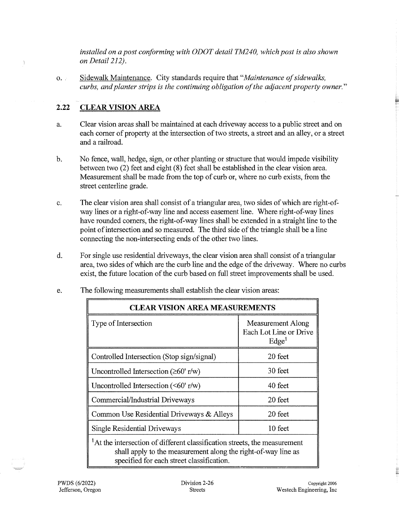*installed on a post conforming with ODOT detail TM240, which post is also shown on Detail 212).* 

o. . Sidewalk Maintenance. City standards require that *"Maintenance of sidewalks, curbs, and planter strips is the continuing obligation of the adjacent property owner."* 

## **2.22 CLEAR VISION AREA**

 $\mathcal{L}_{\mathcal{A}}^{\mathcal{A}}$ 

- a. Clear vision areas shall be maintained at each driveway access to a public street and on each comer of property at the intersection of two streets, a street and an alley, or a street and a railroad.
- b. No fence, wall, hedge, sign, or other planting or structure that would impede visibility between two (2) feet and eight (8) feet shall be established in the clear vision area. Measurement shall be made from the top of curb or, where no curb exists, from the street centerline grade.
- c. The clear vision area shall consist of a triangular area, two sides of which are right-ofway lines or a right-of-way line and access easement line. Where right-of-way lines have rounded comers, the right-of-way lines shall be extended in a straight line to the point of intersection and so measured. The third side of the triangle shall be a line connecting the non-intersecting ends of the other two lines.
- d. For single use residential driveways, the clear vision area shall consist of a triangular area, two sides of which are the curb line and the edge of the driveway. Where no curbs exist, the future location of the curb based on full street improvements shall be used.

| <b>CLEAR VISION AREA MEASUREMENTS</b>                                                                                                                                                               |                                                                  |  |
|-----------------------------------------------------------------------------------------------------------------------------------------------------------------------------------------------------|------------------------------------------------------------------|--|
| Type of Intersection                                                                                                                                                                                | Measurement Along<br>Each Lot Line or Drive<br>Edge <sup>1</sup> |  |
| Controlled Intersection (Stop sign/signal)                                                                                                                                                          | 20 feet                                                          |  |
| Uncontrolled Intersection $(\geq 60' \text{ r/w})$                                                                                                                                                  | 30 feet                                                          |  |
| Uncontrolled Intersection $(<60$ ' r/w)                                                                                                                                                             | 40 feet                                                          |  |
| 20 feet<br>Commercial/Industrial Driveways                                                                                                                                                          |                                                                  |  |
| Common Use Residential Driveways & Alleys                                                                                                                                                           | 20 feet                                                          |  |
| Single Residential Driveways                                                                                                                                                                        | 10 feet                                                          |  |
| <sup>1</sup> At the intersection of different classification streets, the measurement<br>shall apply to the measurement along the right-of-way line as<br>specified for each street classification. |                                                                  |  |

e. The following measurements shall establish the clear vision areas: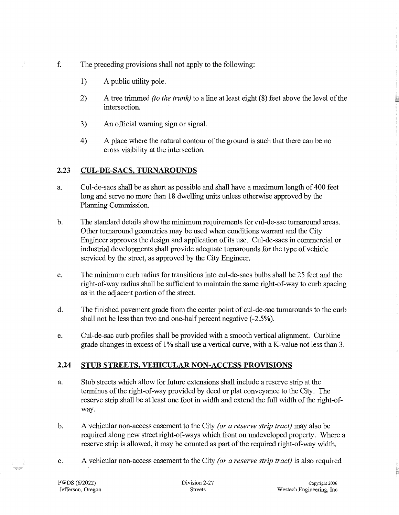- f. The preceding provisions shall not apply to the following:
	- 1) A public utility pole.
	- 2) A tree trimmed *(to the trunk)* to a line at least eight (8) feet above the level of the intersection.
	- 3) An official warning sign or signal.
	- 4) A place where the natural contour of the ground is such that there can be no cross visibility at the intersection.

### **2.23 CUL-DE-SACS, TURNAROUNDS**

- a. Cul-de-sacs shall be as short as possible and shall have a maximum length of 400 feet long and serve no more than 18 dwelling units unless otherwise approved by the Planning Commission.
- b. The standard details show the minimum requirements for cul-de-sac turnaround areas. Other turnaround geometries may be used when conditions warrant and the City Engineer approves the design and application of its use. Cul-de-sacs in commercial or industrial developments shall provide adequate turnarounds for the type of vehicle serviced by the street, as approved by the City Engineer.
- c. The minimum curb radius for transitions into cul-de-sacs bulbs shall be 25 feet and the right-of-way radius shall be sufficient to maintain the same right-of-way to curb spacing as in the adjacent portion of the street.
- d. The finished pavement grade from the center point of cul-de-sac turnarounds to the curb shall not be less than two and one-half percent negative (-2.5%).
- e. Cul-de-sac curb profiles shall be provided with a smooth vertical alignment. Curbline grade changes in excess of 1% shall use a vertical curve, with a K-value not less than 3.

### **2.24 STUB STREETS, VEHICULAR NON-ACCESS PROVISIONS**

- a. Stub streets which allow for future extensions shall include a reserve strip at the terminus of the right-of-way provided by deed or plat conveyance to the City. The reserve strip shall be at least one foot in width and extend the full width of the right-ofway.
- b. A vehicular non-access easement to the City *(or a reserve strip tract)* may also be required along new street right-of-ways which front on undeveloped property. Where a reserve strip is allowed, it may be counted as part of the required right-of-way width.
- c. A vehicular non-access easement to the City *(or a reserve strip tract)* is also required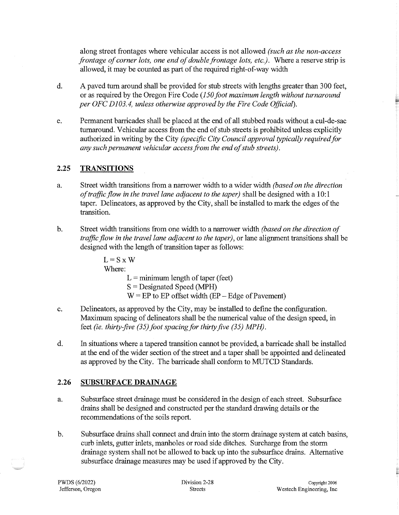along street frontages where vehicular access is not allowed *(such as the non-access frontage of corner lots, one end of double frontage lots, etc.).* Where a reserve strip is allowed, it may be counted as part of the required right-of-way width

- d. A paved tum around shall be provided for stub streets with lengths greater than 300 feet, or as required by the Oregon Fire Code *(150 foot maximum length without turnaround per OFC Dl03.4, unless otherwise approved by the Fire Code Official).*
- e. Permanent barricades shall be placed at the end of all stubbed roads without a cul-de-sac turnaround. Vehicular access from the end of stub streets is prohibited unless explicitly authorized in writing by the City *(specific City Council approval typically required for any such permanent vehicular access from the end of stub streets).*

### **2.25 TRANSITIONS**

- a. Street width transitions from a narrower width to a wider width *(based on the direction of traffic flow in the travel lane adjacent to the taper)* shall be designed with a 10: 1 taper. Delineators, as approved by the City, shall be installed to mark the edges of the transition.
- b. Street width transitions from one width to a narrower width *(based on the direction of traffic flow in the travel lane adjacent to the taper),* or lane alignment transitions shall be designed with the length of transition taper as follows:

L=SxW Where: L =minimum length of taper (feet) S = Designated Speed (MPH) W = EP to EP offset width (EP - Edge of Pavement)

- c. Delineators, as approved by the City, may be installed to define the configuration. Maximum spacing of delineators shall be the numerical value of the design speed, in feet *(ie. thirty-five (35) foot spacing for thirty five (35) MPH).*
- d. In situations where a tapered transition cannot be provided, a barricade shall be installed at the end of the wider section of the street and a taper shall be appointed and delineated as approved by the City. The barricade shall conform to MUTCD Standards.

### **2.26 SUBSURFACE DRAINAGE**

- a. Subsurface street drainage must be considered in the design of each street. Subsurface drains shall be designed and constructed per the standard drawing details or the recommendations of the soils report.
- b. Subsurface drains shall connect and drain into the storm drainage system at catch basins, curb inlets, gutter inlets, manholes or road side ditches. Surcharge from the storm drainage system shall not be allowed to back up into the subsurface drains. Alternative subsurface drainage measures may be used if approved by the City.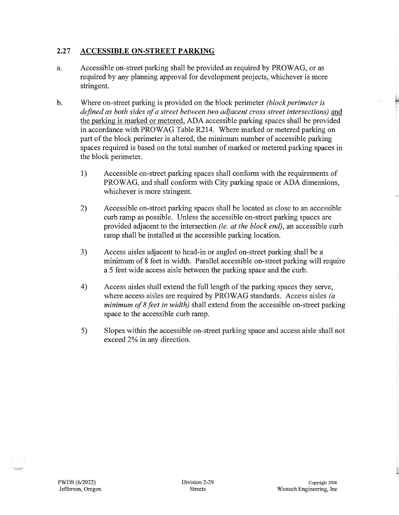#### **2.27 ACCESSIBLE ON-STREET PARKING**

- a. Accessible on-street parking shall be provided as required by PROWAG, or as required by any planning approval for development projects, whichever is more stringent.
- b. Where on-street parking is provided on the block perimeter *(block perimeter is defined as both sides of a street between two adjacent cross street intersections)* and the parking is marked or metered, ADA accessible parking spaces shall be provided in accordance with PROWAG Table R214. Where marked or metered parking on part of the block perimeter is altered, the minimum number of accessible parking spaces required is based on the total number of marked or metered parking spaces in the block perimeter.
	- 1) Accessible on-street parking spaces shall conform with the requirements of PROWAG, and shall conform with City parking space or ADA dimensions, whichever is more stringent.
	- 2) Accessible on-street parking spaces shall be located as close to an accessible curb ramp as possible. Unless the accessible on-street parking spaces are provided adjacent to the intersection *(ie. at the block end),* an accessible curb ramp shall be installed at the accessible parking location.
	- 3) Access aisles adjacent to head-in or angled on-street parking shall be a minimum of 8 feet in width. Parallel accessible on-street parking will require a 5 feet wide access aisle between the parking space and the curb.
	- 4) Access aisles shall extend the full length of the parking spaces they serve, where access aisles are required by PROWAG standards. Access aisles *(a minimum of 8 feet in width)* shall extend from the accessible on-street parking space to the accessible curb ramp.
	- 5) Slopes within the accessible on-street parking space and access aisle shall not exceed 2% in any direction.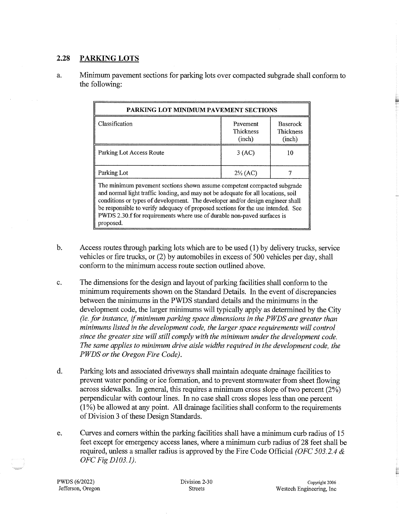#### 2.28 PARKING LOTS

a. Minimum pavement sections for parking lots over compacted subgrade shall conform to the following:

| PARKING LOT MINIMUM PAVEMENT SECTIONS                                                                                                                                                                                                                                                                                                                                                                                      |                                                                                  |   |  |  |
|----------------------------------------------------------------------------------------------------------------------------------------------------------------------------------------------------------------------------------------------------------------------------------------------------------------------------------------------------------------------------------------------------------------------------|----------------------------------------------------------------------------------|---|--|--|
| Classification                                                                                                                                                                                                                                                                                                                                                                                                             | <b>Baserock</b><br>Pavement<br><b>Thickness</b><br>Thickness<br>(inch)<br>(inch) |   |  |  |
| Parking Lot Access Route                                                                                                                                                                                                                                                                                                                                                                                                   | 3(AC)                                                                            |   |  |  |
| Parking Lot                                                                                                                                                                                                                                                                                                                                                                                                                | $2\frac{1}{2}$ (AC)                                                              | 7 |  |  |
| The minimum pavement sections shown assume competent compacted subgrade<br>and normal light traffic loading, and may not be adequate for all locations, soil<br>conditions or types of development. The developer and/or design engineer shall<br>be responsible to verify adequacy of proposed sections for the use intended. See<br>PWDS 2.30.f for requirements where use of durable non-paved surfaces is<br>proposed. |                                                                                  |   |  |  |

- b. Access routes through parking lots which are to be used (1) by delivery trucks, service vehicles or fire trucks, or (2) by automobiles in excess of 500 vehicles per day, shall conform to the minimum access route section outlined above.
- c. The dimensions for the design and layout of parking facilities shall conform to the minimum requirements shown on the Standard Details. In the event of discrepancies between the minimums in the PWDS standard details and the minimums in the development code, the larger minimums will typically apply as determined by the City *(ie. for instance,* if *minimum parking space dimensions in the PWDS are greater than minimums listed in the development code, the larger space requirements will control since the greater size will still comply with the minimum under the development code. The same applies to minimum drive aisle widths required in the development code, the PWDS or the Oregon Fire Code).*
- d. Parking lots and associated driveways shall maintain adequate drainage facilities to prevent water ponding or ice formation, and to prevent stormwater from sheet flowing across sidewalks. In general, this requires a minimum cross slope of two percent (2%) perpendicular with contour lines. In no case shall cross slopes less than one percent (1 % ) be allowed at any point. All drainage facilities shall conform to the requirements of Division 3 of these Design Standards.
- e. Curves and comers within the parking facilities shall have a minimum curb radius of 15 feet except for emergency access lanes, where a minimum curb radius of 28 feet shall be required, unless a smaller radius is approved by the Fire Code Official *(OFC 503.2.4* & *OFC Fig D103.l).*

PWDS (6/2022) Jefferson, Oregon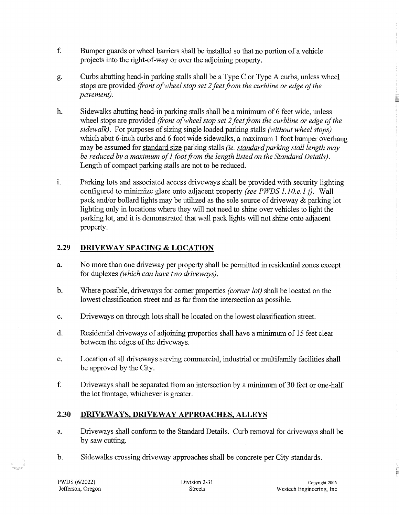- f. Bumper guards or wheel barriers shall be installed so that no portion of a vehicle projects into the right-of-way or over the adjoining property.
- g. Curbs abutting head-in parking stalls shall be a Type C or Type A curbs, unless wheel stops are provided *(front of wheel stop set 2 feet from the curbline or edge of the pavement).*
- h. Sidewalks abutting head-in parking stalls shall be a minimum of 6 feet wide, unless wheel stops are provided *(front of wheel stop set 2 feet from the curbline or edge of the sidewalk).* For purposes of sizing single loaded parking stalls *(without wheel stops)*  which abut 6-inch curbs and 6 foot wide sidewalks, a maximum 1 foot bumper overhang may be assumed for standard size parking stalls *(ie. standard parking stall length may be reduced by a maximum of 1 foot from the length listed on the Standard Details).*  Length of compact parking stalls are not to be reduced.
- 1. Parking lots and associated access driveways shall be provided with security lighting configured to minimize glare onto adjacent property *(see PWDS 1.10.e.1 j).* Wall pack and/or bollard lights may be utilized as the sole source of driveway & parking lot lighting only in locations where they will not need to shine over vehicles to light the parking lot, and it is demonstrated that wall pack lights will not shine onto adjacent property.

### **2.29 DRIVEWAY SPACING & LOCATION**

- a. No more than one driveway per property shall be permitted in residential zones except for duplexes *(which can have two driveways).*
- b. Where possible, driveways for comer properties *(corner lot)* shall be located on the lowest classification street and as far from the intersection as possible.
- c. Driveways on through lots shall be located on the lowest classification street.
- d. Residential driveways of adjoining properties shall have a minimum of 15 feet clear between the edges of the driveways.
- e. Location of all driveways serving commercial, industrial or multifamily facilities shall be approved by the City.
- f. Driveways shall be separated from an intersection by a minimum of 30 feet or one-half the lot frontage, whichever is greater.

## **2.30 DRIVEWAYS, DRIVEWAY APPROACHES, ALLEYS**

- a. Driveways shall conform to the Standard Details. Curb removal for driveways shall be by saw cutting.
- b. Sidewalks crossing driveway approaches shall be concrete per City standards.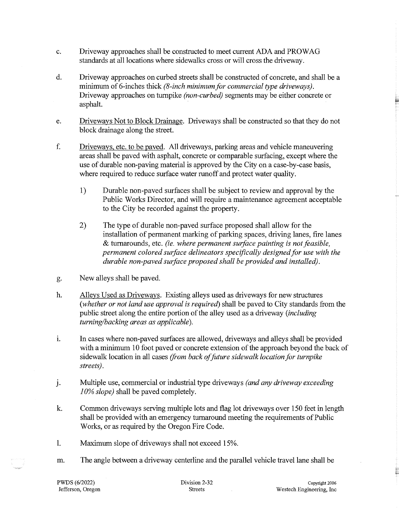- c. Driveway approaches shall be constructed to meet current ADA and PROW AG standards at all locations where sidewalks cross or will cross the driveway.
- d. Driveway approaches on curbed streets shall be constructed of concrete, and shall be a minimum of 6-inches thick *(8-inch minimum for commercial type driveways).*  Driveway approaches on turnpike *(non-curbed)* segments may be either concrete or asphalt.
- e. Driveways Not to Block Drainage. Driveways shall be constructed so that they do not block drainage along the street.
- f. Driveways, etc. to be paved. All driveways, parking areas and vehicle maneuvering areas shall be paved with asphalt, concrete or comparable surfacing, except where the use of durable non-paving material is approved by the City on a case-by-case basis, where required to reduce surface water runoff and protect water quality.
	- 1) Durable non-paved surfaces shall be subject to review and approval by the Public Works Director, and will require a maintenance agreement acceptable to the City be recorded against the property.
	- 2) The type of durable non-paved surface proposed shall allow for the installation of permanent marking of parking spaces, driving lanes, fire lanes & turnarounds, etc. *(ie. where permanent surface painting is not feasible, permanent colored surface delineators specifically designed for use with the durable non-paved surface proposed shall be provided and installed).*
- g. New alleys shall be paved.
- h. Alleys Used as Driveways. Existing alleys used as driveways for new structures *(whether or not land use approval is required)* shall be paved to City standards from the public street along the entire portion of the alley used as a driveway *(including turning/backing areas as applicable).*
- i. In cases where non-paved surfaces are allowed, driveways and alleys shall be provided with a minimum 10 foot paved or concrete extension of the approach beyond the back of sidewalk location in all cases *(from back of future sidewalk location for turnpike streets).*
- J. Multiple use, commercial or industrial type driveways *(and any driveway exceeding 10% slope)* shall be paved completely.
- k. Common driveways serving multiple lots and flag lot driveways over 150 feet in length shall be provided with an emergency turnaround meeting the requirements of Public Works, or as required by the Oregon Fire Code.
- 1. Maximum slope of driveways shall not exceed 15%.
- m. The angle between a driveway centerline and the parallel vehicle travel lane shall be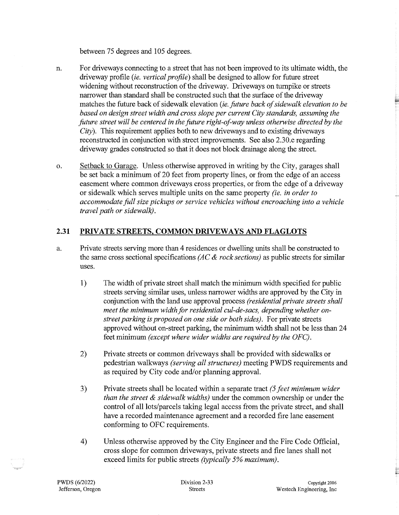between 75 degrees and 105 degrees.

- n. For driveways connecting to a street that has not been improved to its ultimate width, the driveway profile *(ie. vertical profile)* shall be designed to allow for future street widening without reconstruction of the driveway. Driveways on turnpike or streets narrower than standard shall be constructed such that the surface of the driveway matches the future back of sidewalk elevation *(ie. future back of sidewalk elevation to be based on design street width and cross slope per current City standards, assuming the future street will be centered in the future right-of-way unless otherwise directed by the City).* This requirement applies both to new driveways and to existing driveways reconstructed in conjunction with street improvements. See also 2.30.e regarding driveway grades constructed so that it does not block drainage along the street.
- o. Setback to Garage. Unless otherwise approved in writing by the City, garages shall be set back a minimum of 20 feet from property lines, or from the edge of an access easement where common driveways cross properties, or from the edge of a driveway or sidewalk which serves multiple units on the same property *(ie. in order to accommodate full size pickups or service vehicles without encroaching into a vehicle travel path or sidewalk).*

#### **2.31 PRIVATE STREETS, COMMON DRIVEWAYS AND FLAGLOTS**

- a. Private streets serving more than 4 residences or dwelling units shall be constructed to the same cross sectional specifications *(AC* & *rock sections)* as public streets for similar uses.
	- 1) The width of private street shall match the minimum width specified for public streets serving similar uses, unless narrower widths are approved by the City in conjunction with the land use approval process *(residential private streets shall meet the minimum width for residential cul-de-sacs, depending whether onstreet parking is proposed on one side or both sides).* For private streets approved without on-street parking, the minimum width shall not be less than 24 feet minimum *(except where wider widths are required by the OFC).*
	- 2) Private streets or common driveways shall be provided with sidewalks or pedestrian walkways *(serving all structures)* meeting PWDS requirements and as required by City code and/or planning approval.
	- 3) Private streets shall be located within a separate tract *(5 feet minimum wider than the street* & *sidewalk widths)* under the common ownership or under the control of all lots/parcels taking legal access from the private street, and shall have a recorded maintenance agreement and a recorded fire lane easement conforming to OFC requirements.
	- 4) Unless otherwise approved by the City Engineer and the Fire Code Official, cross slope for common driveways, private streets and fire lanes shall not exceed limits for public streets *(typically 5% maximum).*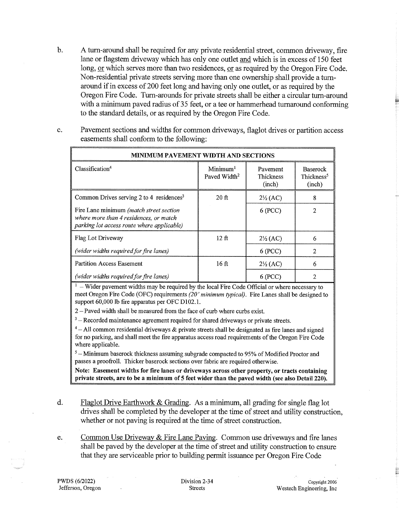- b. A tum-around shall be required for any private residential street, common driveway, fire lane or flagstem driveway which has only one outlet and which is in excess of 150 feet long, or which serves more than two residences, or as required by the Oregon Fire Code. Non-residential private streets serving more than one ownership shall provide a turnaround if in excess of 200 feet long and having only one outlet, or as required by the Oregon Fire Code. Turn-arounds for private streets shall be either a circular tum-around with a minimum paved radius of 35 feet, or a tee or hammerhead turnaround conforming to the standard details, or as required by the Oregon Fire Code.
- c. Pavement sections and widths for common driveways, flaglot drives or partition access easements shall conform to the following:

| <b>MINIMUM PAVEMENT WIDTH AND SECTIONS</b>                                                                                      |                                                  |                                        |                                                     |
|---------------------------------------------------------------------------------------------------------------------------------|--------------------------------------------------|----------------------------------------|-----------------------------------------------------|
| Classification <sup>4</sup>                                                                                                     | Minimum <sup>1</sup><br>Paved Width <sup>2</sup> | Pavement<br><b>Thickness</b><br>(inch) | <b>Baserock</b><br>Thickness <sup>5</sup><br>(inch) |
| Common Drives serving $2$ to $4$ residences <sup>3</sup>                                                                        | $20$ ft                                          | $2\frac{1}{2}$ (AC)                    | 8                                                   |
| Fire Lane minimum (match street section<br>where more than 4 residences, or match<br>parking lot access route where applicable) |                                                  | $6$ (PCC)                              | 2                                                   |
| Flag Lot Driveway                                                                                                               | $12 \text{ ft}$                                  | $2\frac{1}{2}$ (AC)                    | 6                                                   |
| (wider widths required for fire lanes)                                                                                          |                                                  | $6$ (PCC)                              | 2                                                   |
| Partition Access Easement                                                                                                       | 16 ft                                            | $2\frac{1}{2}$ (AC)                    | 6                                                   |
| (wider widths required for fire lanes)                                                                                          |                                                  | $6$ (PCC)                              |                                                     |

 $1 -$  Wider pavement widths may be required by the local Fire Code Official or where necessary to meet Oregon Fire Code (OFC) requirements *(20' minimum typical).* Fire Lanes shall be designed to support 60,000 lb fire apparatus per OFC D102.1.

2 - Paved width shall be measured from the face of curb where curbs exist.

 $3 -$ Recorded maintenance agreement required for shared driveways or private streets.

 $4 -$ All common residential driveways & private streets shall be designated as fire lanes and signed for no parking, and shall meet the fire apparatus access road requirements of the Oregon Fire Code where applicable.

 $5 -$ Minimum baserock thickness assuming subgrade compacted to 95% of Modified Proctor and passes a proofroll. Thicker baserock sections over fabric are required otherwise.

Note: Easement widths for fire lanes or driveways across other property, or tracts containing private streets, are to be a minimum of 5 feet wider than the paved width (see also Detail 220).

- d. Flaglot Drive Earthwork & Grading. As a minimum, all grading for single flag lot drives shall be completed by the developer at the time of street and utility construction, whether or not paving is required at the time of street construction.
- e. Common Use Driveway & Fire Lane Paving. Common use driveways and fire lanes shall be paved by the developer at the time of street and utility construction to ensure that they are serviceable prior to building permit issuance per Oregon Fire Code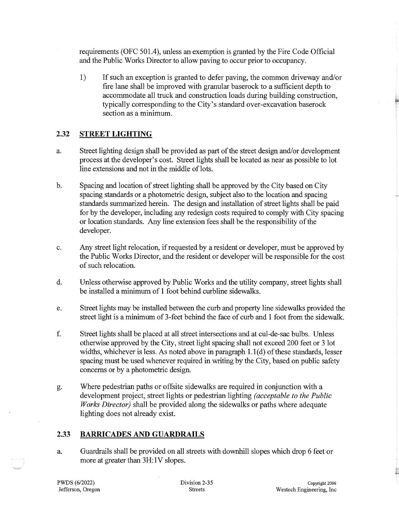requirements (OFC 501.4), unless an exemption is granted by the Fire Code Official and the Public Works Director to allow paving to occur prior to occupancy.

1) If such an exception is granted to defer paving, the common driveway and/or fire lane shall be improved with granular baserock to a sufficient depth to accommodate all truck and construction loads during building construction, typically corresponding to the City's standard over-excavation baserock section as a minimum.

### **2.32 STREET LIGHTING**

- a. Street lighting design shall be provided as part of the street design and/or development process at the developer's cost. Street lights shall be located as near as possible to lot line extensions and not in the middle of lots.
- b. Spacing and location of street lighting shall be approved by the City based on City spacing standards or a photometric design, subject also to the location and spacing standards summarized herein. The design and installation of street lights shall be paid for by the developer, including any redesign costs required to comply with City spacing or location standards. Any line extension fees shall be the responsibility of the developer.
- c. Any street light relocation, if requested by a resident or developer, must be approved by the Public Works Director, and the resident or developer will be responsible for the cost of such relocation.
- d. Unless otherwise approved by Public Works and the utility company, street lights shall be installed a minimum of 1 foot behind curbline sidewalks.
- e. Street lights may be installed between the curb and property line sidewalks provided the street light is a minimum of 3-feet behind the face of curb and 1 foot from the sidewalk.
- f. Street lights shall be placed at all street intersections and at cul-de-sac bulbs. Unless otherwise approved by the City, street light spacing shall not exceed 200 feet or 3 lot widths, whichever is less. As noted above in paragraph  $1.1(d)$  of these standards, lesser spacing must be used whenever required in writing by the City, based on public safety concerns or by a photometric design.
- g. Where pedestrian paths or offsite sidewalks are required in conjunction with a development project, street lights or pedestrian lighting *(acceptable to the Public Works Director)* shall be provided along the sidewalks or paths where adequate lighting does not already exist.

### **2.33 BARRICADES AND GUARDRAILS**

a. Guardrails shall be provided on all streets with downhill slopes which drop 6 feet or more at greater than  $3H:1V$  slopes.

È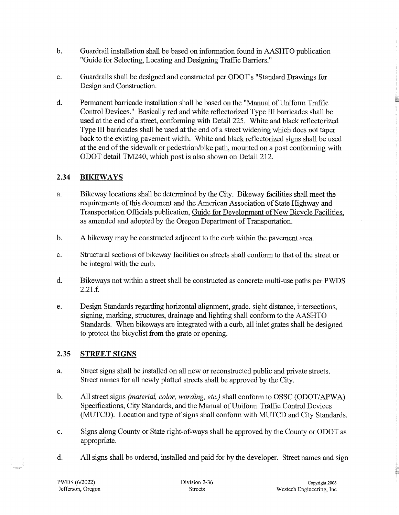- b. Guardrail installation shall be based on information found in AASHTO publication "Guide for Selecting, Locating and Designing Traffic Barriers."
- c. Guardrails shall be designed and constructed per ODOT's "Standard Drawings for Design and Construction.
- d. Permanent barricade installation shall be based on the "Manual of Uniform Traffic Control Devices." Basically red and white reflectorized Type III barricades shall be used at the end of a street, conforming with Detail 225. White and black reflectorized Type III barricades shall be used at the end of a street widening which does not taper back to the existing pavement width. White and black reflectorized signs shall be used at the end of the sidewalk or pedestrian/bike path, mounted on a post conforming with ODOT detail TM240, which post is also shown on Detail 212.

## **2.34 BIKEWAYS**

- a. Bikeway locations shall be determined by the City. Bikeway facilities shall meet the requirements of this document and the American Association of State Highway and Transportation Officials publication, Guide for Development of New Bicycle Facilities, as amended and adopted by the Oregon Department of Transportation.
- b. A bikeway may be constructed adjacent to the curb within the pavement area.
- c. Structural sections of bikeway facilities on streets shall conform to that of the street or be integral with the curb.
- d. Bikeways not within a street shall be constructed as concrete multi-use paths per PWDS 2.21.f.
- e. Design Standards regarding horizontal alignment, grade, sight distance, intersections, signing, marking, structures, drainage and lighting shall conform to the AASHTO Standards. When bikeways are integrated with a curb, all inlet grates shall be designed to protect the bicyclist from the grate or opening.

### **2.35 STREET SIGNS**

- a. Street signs shall be installed on all new or reconstructed public and private streets. Street names for all newly platted streets shall be approved by the City.
- b. All street signs *(material, color, wording, etc.)* shall conform to OSSC (ODOT/APWA) Specifications, City Standards, and the Manual of Uniform Traffic Control Devices (MUTCD). Location and type of signs shall conform with MUTCD and City Standards.
- c. Signs along County or State right-of-ways shall be approved by the County or ODOT as appropriate.
- d. All signs shall be ordered, installed and paid for by the developer. Street names and sign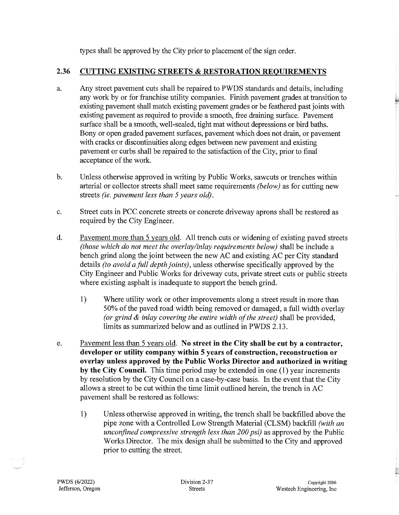types shall be approved by the City prior to placement of the sign order.

### **2.36 CUTTING EXISTING STREETS & RESTORATION REQUIREMENTS**

- a. Any street pavement cuts shall be repaired to PWDS standards and details, including any work by or for franchise utility companies. Finish pavement grades at transition to existing pavement shall match existing pavement grades or be feathered past joints with existing pavement as required to provide a smooth, free draining surface. Pavement surface shall be a smooth, well-sealed, tight mat without depressions or bird baths. Bony or open graded pavement surfaces, pavement which does not drain, or pavement with cracks or discontinuities along edges between new pavement and existing pavement or curbs shall be repaired to the satisfaction of the City, prior to final acceptance of the work.
- b. Unless otherwise approved in writing by Public Works, sawcuts or trenches within arterial or collector streets shall meet same requirements *(below)* as for cutting new streets *(ie. pavement less than 5 years old).*
- c. Street cuts in PCC concrete streets or concrete driveway aprons shall be restored as required by the City Engineer.
- d. Pavement more than 5 years old. All trench cuts or widening of existing paved streets *(those which do not meet the overlay/inlay requirements below)* shall be include a bench grind along the joint between the new AC and existing AC per City standard details *(to avoid a full depth joints),* unless otherwise specifically approved by the City Engineer and Public Works for driveway cuts, private street cuts or public streets where existing asphalt is inadequate to support the bench grind.
	- 1) Where utility work or other improvements along a street result in more than 50% of the paved road width being removed or damaged, a full width overlay *(or grind* & *inlay covering the entire width of the street)* shall be provided, limits as summarized below and as outlined in PWDS 2.13.
- e. Pavement less than 5 years old. **No street in the City shall be cut by a contractor, developer or utility company within 5 years of construction, reconstruction or overlay unless approved by the Public Works Director and authorized in writing by the City Council.** This time period may be extended in one (1) year increments by resolution by the City Council on a case-by-case basis. In the event that the City allows a street to be cut within the time limit outlined herein, the trench in AC pavement shall be restored as follows:
	- 1) Unless otherwise approved in writing, the trench shall be backfilled above the pipe zone with a Controlled Low Strength Material (CLSM) backfill *(with an unconfined compressive strength less than 200 psi)* as approved by the Public Works Director. The mix design shall be submitted to the City and approved prior to cutting the street.